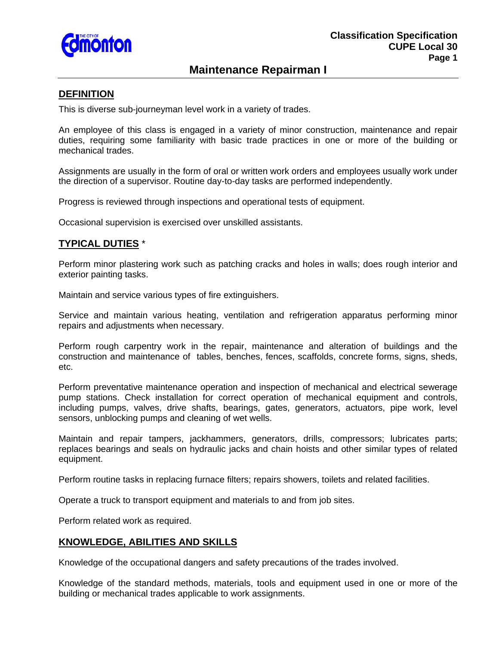

# **Maintenance Repairman I**

### **DEFINITION**

This is diverse sub-journeyman level work in a variety of trades.

An employee of this class is engaged in a variety of minor construction, maintenance and repair duties, requiring some familiarity with basic trade practices in one or more of the building or mechanical trades.

Assignments are usually in the form of oral or written work orders and employees usually work under the direction of a supervisor. Routine day-to-day tasks are performed independently.

Progress is reviewed through inspections and operational tests of equipment.

Occasional supervision is exercised over unskilled assistants.

### **TYPICAL DUTIES** \*

Perform minor plastering work such as patching cracks and holes in walls; does rough interior and exterior painting tasks.

Maintain and service various types of fire extinguishers.

Service and maintain various heating, ventilation and refrigeration apparatus performing minor repairs and adjustments when necessary.

Perform rough carpentry work in the repair, maintenance and alteration of buildings and the construction and maintenance of tables, benches, fences, scaffolds, concrete forms, signs, sheds, etc.

Perform preventative maintenance operation and inspection of mechanical and electrical sewerage pump stations. Check installation for correct operation of mechanical equipment and controls, including pumps, valves, drive shafts, bearings, gates, generators, actuators, pipe work, level sensors, unblocking pumps and cleaning of wet wells.

Maintain and repair tampers, jackhammers, generators, drills, compressors; lubricates parts; replaces bearings and seals on hydraulic jacks and chain hoists and other similar types of related equipment.

Perform routine tasks in replacing furnace filters; repairs showers, toilets and related facilities.

Operate a truck to transport equipment and materials to and from job sites.

Perform related work as required.

## **KNOWLEDGE, ABILITIES AND SKILLS**

Knowledge of the occupational dangers and safety precautions of the trades involved.

Knowledge of the standard methods, materials, tools and equipment used in one or more of the building or mechanical trades applicable to work assignments.